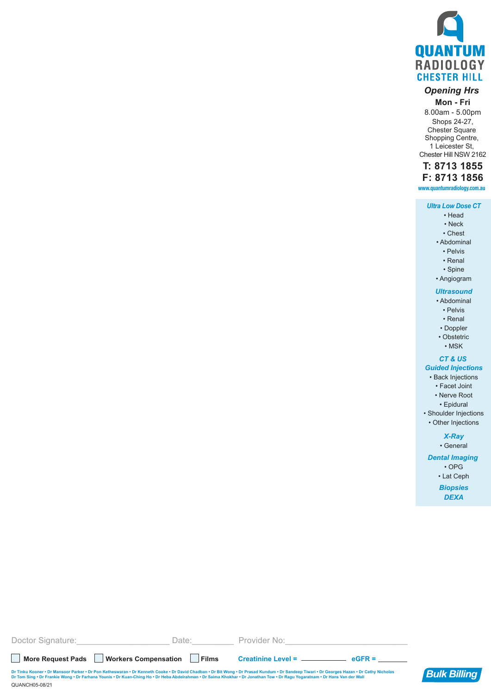

# *Opening Hrs*

## **Mon - Fri**

8.00am - 5.00pm Shops 24-27, Chester Square Shopping Centre, 1 Leicester St, Chester Hill NSW 2162

## **T: 8713 1855**

**F: 8713 1856**

**www.quantumradiology.com.au**

## *Ultra Low Dose CT*

- Head • Neck
- Chest
- Abdominal
	- Pelvis • Renal
	- Spine
- Angiogram

## *Ultrasound*

- Abdominal
- Pelvis
- Renal
- Doppler
- Obstetric

## • MSK

## *CT & US*

- *Guided Injections* • Back Injections
	- Facet Joint
	- Nerve Root
	- Epidural
	-
- Shoulder Injections • Other Injections

## *X-Ray*

• General

#### *Dental Imaging*

- OPG
- Lat Ceph *Biopsies*
	- *DEXA*

**More Request Pads Workers Compensation Films Creatinine Level = eGFR =** Doctor Signature: etc. All and Date: Exercise Provider No:



QUANCH05-08/21 Dr Tinku Kooner • Dr Mansoor Parker • Dr Pon Ketheswaran • Dr Kenneth Cooke • Dr David Chadban • Dr Bit Wong • Dr Prasad Kundum • Dr Sandeep Tiwari • Dr Georges Hazan • Dr Cathy Nicholas **Bulk Billing**